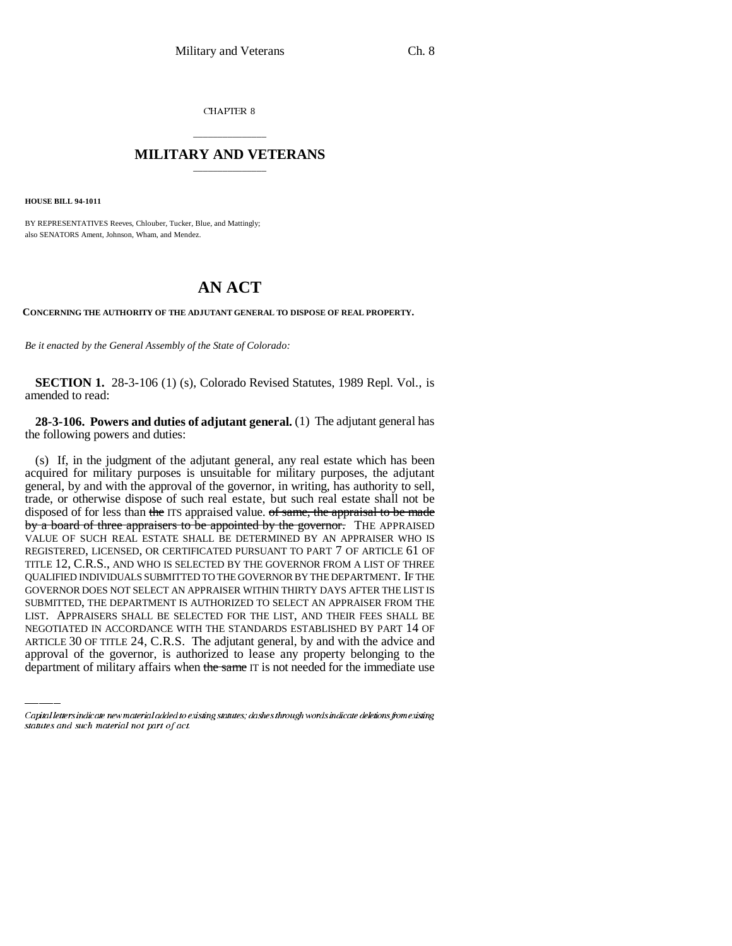CHAPTER 8

## \_\_\_\_\_\_\_\_\_\_\_\_\_\_\_ **MILITARY AND VETERANS** \_\_\_\_\_\_\_\_\_\_\_\_\_\_\_

**HOUSE BILL 94-1011**

BY REPRESENTATIVES Reeves, Chlouber, Tucker, Blue, and Mattingly; also SENATORS Ament, Johnson, Wham, and Mendez.

## **AN ACT**

**CONCERNING THE AUTHORITY OF THE ADJUTANT GENERAL TO DISPOSE OF REAL PROPERTY.**

*Be it enacted by the General Assembly of the State of Colorado:*

**SECTION 1.** 28-3-106 (1) (s), Colorado Revised Statutes, 1989 Repl. Vol., is amended to read:

**28-3-106. Powers and duties of adjutant general.** (1) The adjutant general has the following powers and duties:

LIST. APPRAISERS SHALL BE SELECTED FOR THE LIST, AND THEIR FEES SHALL BE (s) If, in the judgment of the adjutant general, any real estate which has been acquired for military purposes is unsuitable for military purposes, the adjutant general, by and with the approval of the governor, in writing, has authority to sell, trade, or otherwise dispose of such real estate, but such real estate shall not be disposed of for less than the ITS appraised value. of same, the appraisal to be made by a board of three appraisers to be appointed by the governor. THE APPRAISED VALUE OF SUCH REAL ESTATE SHALL BE DETERMINED BY AN APPRAISER WHO IS REGISTERED, LICENSED, OR CERTIFICATED PURSUANT TO PART 7 OF ARTICLE 61 OF TITLE 12, C.R.S., AND WHO IS SELECTED BY THE GOVERNOR FROM A LIST OF THREE QUALIFIED INDIVIDUALS SUBMITTED TO THE GOVERNOR BY THE DEPARTMENT. IF THE GOVERNOR DOES NOT SELECT AN APPRAISER WITHIN THIRTY DAYS AFTER THE LIST IS SUBMITTED, THE DEPARTMENT IS AUTHORIZED TO SELECT AN APPRAISER FROM THE NEGOTIATED IN ACCORDANCE WITH THE STANDARDS ESTABLISHED BY PART 14 OF ARTICLE 30 OF TITLE 24, C.R.S. The adjutant general, by and with the advice and approval of the governor, is authorized to lease any property belonging to the department of military affairs when the same IT is not needed for the immediate use

Capital letters indicate new material added to existing statutes; dashes through words indicate deletions from existing statutes and such material not part of act.